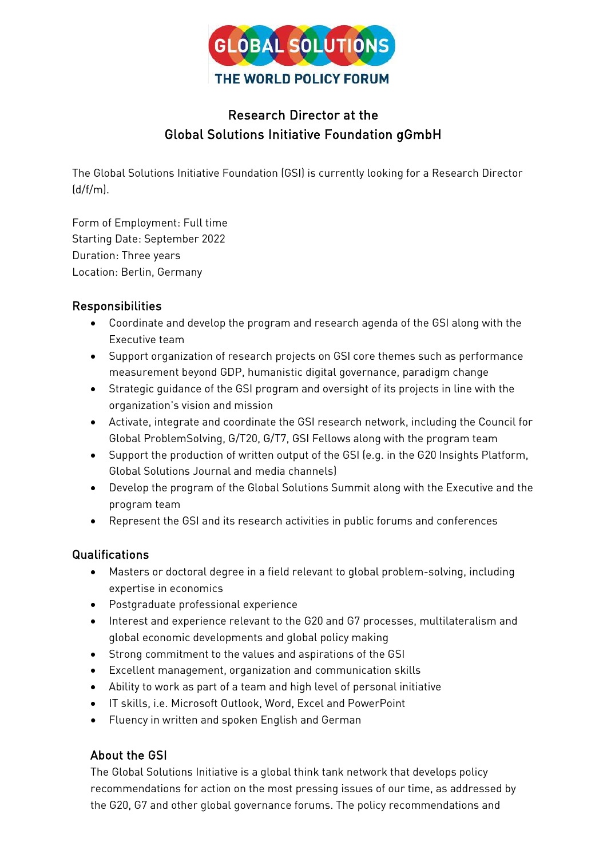

## Research Director at the Global Solutions Initiative Foundation gGmbH

The Global Solutions Initiative Foundation (GSI) is currently looking for a Research Director  $(d/f/m)$ 

Form of Employment: Full time Starting Date: September 2022 Duration: Three years Location: Berlin, Germany

## Responsibilities

- Coordinate and develop the program and research agenda of the GSI along with the Executive team
- Support organization of research projects on GSI core themes such as performance measurement beyond GDP, humanistic digital governance, paradigm change
- Strategic guidance of the GSI program and oversight of its projects in line with the organization's vision and mission
- Activate, integrate and coordinate the GSI research network, including the Council for Global ProblemSolving, G/T20, G/T7, GSI Fellows along with the program team
- Support the production of written output of the GSI (e.g. in the G20 Insights Platform, Global Solutions Journal and media channels)
- Develop the program of the Global Solutions Summit along with the Executive and the program team
- Represent the GSI and its research activities in public forums and conferences

## Qualifications

- Masters or doctoral degree in a field relevant to global problem-solving, including expertise in economics
- Postgraduate professional experience
- Interest and experience relevant to the G20 and G7 processes, multilateralism and global economic developments and global policy making
- Strong commitment to the values and aspirations of the GSI
- Excellent management, organization and communication skills
- Ability to work as part of a team and high level of personal initiative
- IT skills, i.e. Microsoft Outlook, Word, Excel and PowerPoint
- Fluency in written and spoken English and German

## About the GSI

The Global Solutions Initiative is a global think tank network that develops policy recommendations for action on the most pressing issues of our time, as addressed by the G20, G7 and other global governance forums. The policy recommendations and